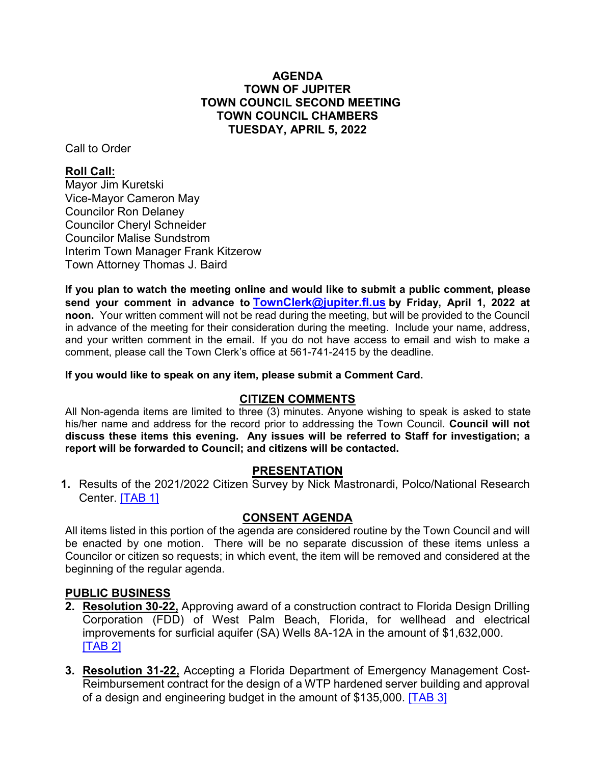#### **AGENDA TOWN OF JUPITER TOWN COUNCIL SECOND MEETING TOWN COUNCIL CHAMBERS TUESDAY, APRIL 5, 2022**

Call to Order

## **Roll Call:**

Mayor Jim Kuretski Vice-Mayor Cameron May Councilor Ron Delaney Councilor Cheryl Schneider Councilor Malise Sundstrom Interim Town Manager Frank Kitzerow Town Attorney Thomas J. Baird

**If you plan to watch the meeting online and would like to submit a public comment, please send your comment in advance to [TownClerk@jupiter.fl.us](mailto:TownClerk@jupiter.fl.us) by Friday, April 1, 2022 at noon.** Your written comment will not be read during the meeting, but will be provided to the Council in advance of the meeting for their consideration during the meeting. Include your name, address, and your written comment in the email. If you do not have access to email and wish to make a comment, please call the Town Clerk's office at 561-741-2415 by the deadline.

**If you would like to speak on any item, please submit a Comment Card.**

#### **CITIZEN COMMENTS**

All Non-agenda items are limited to three (3) minutes. Anyone wishing to speak is asked to state his/her name and address for the record prior to addressing the Town Council. **Council will not discuss these items this evening. Any issues will be referred to Staff for investigation; a report will be forwarded to Council; and citizens will be contacted.**

#### **PRESENTATION**

**1.** Results of the 2021/2022 Citizen Survey by Nick Mastronardi, Polco/National Research Center. [\[TAB 1\]](http://www.jupiter.fl.us/documentcenter/view/29791)

#### **CONSENT AGENDA**

All items listed in this portion of the agenda are considered routine by the Town Council and will be enacted by one motion. There will be no separate discussion of these items unless a Councilor or citizen so requests; in which event, the item will be removed and considered at the beginning of the regular agenda.

#### **PUBLIC BUSINESS**

- **2. Resolution 30-22,** Approving award of a construction contract to Florida Design Drilling Corporation (FDD) of West Palm Beach, Florida, for wellhead and electrical improvements for surficial aquifer (SA) Wells 8A-12A in the amount of \$1,632,000. [\[TAB 2\]](http://www.jupiter.fl.us/documentcenter/view/29792)
- **3. Resolution 31-22,** Accepting a Florida Department of Emergency Management Cost-Reimbursement contract for the design of a WTP hardened server building and approval of a design and engineering budget in the amount of \$135,000. [\[TAB 3\]](http://www.jupiter.fl.us/documentcenter/view/29803)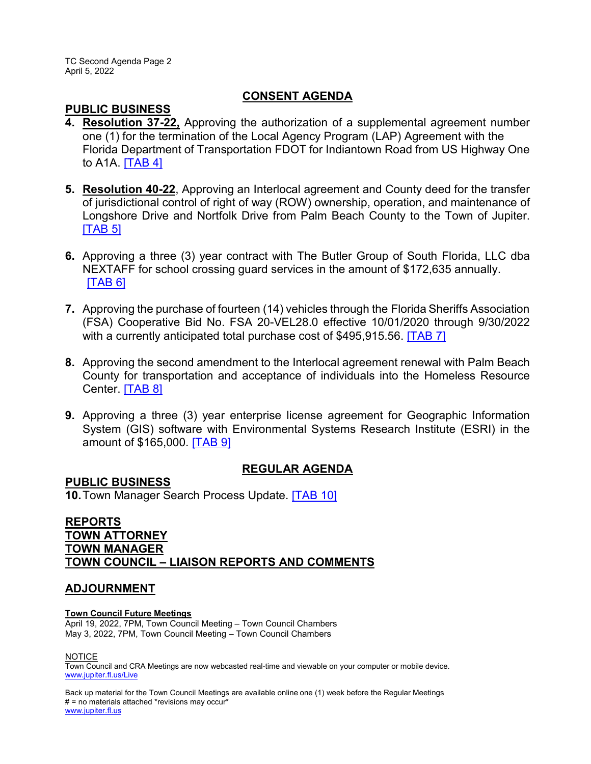TC Second Agenda Page 2 April 5, 2022

#### **CONSENT AGENDA**

#### **PUBLIC BUSINESS**

- **4. Resolution 37-22,** Approving the authorization of a supplemental agreement number one (1) for the termination of the Local Agency Program (LAP) Agreement with the Florida Department of Transportation FDOT for Indiantown Road from US Highway One to A1A. [\[TAB 4\]](http://www.jupiter.fl.us/documentcenter/view/29793)
- **5. Resolution 40-22**, Approving an Interlocal agreement and County deed for the transfer of jurisdictional control of right of way (ROW) ownership, operation, and maintenance of Longshore Drive and Nortfolk Drive from Palm Beach County to the Town of Jupiter. [\[TAB 5\]](http://www.jupiter.fl.us/documentcenter/view/29787)
- **6.** Approving a three (3) year contract with The Butler Group of South Florida, LLC dba NEXTAFF for school crossing guard services in the amount of \$172,635 annually. [\[TAB 6\]](http://www.jupiter.fl.us/documentcenter/view/29788)
- **7.** Approving the purchase of fourteen (14) vehicles through the Florida Sheriffs Association (FSA) Cooperative Bid No. FSA 20-VEL28.0 effective 10/01/2020 through 9/30/2022 with a currently anticipated total purchase cost of \$495,915.56. [\[TAB 7\]](http://www.jupiter.fl.us/documentcenter/view/29804)
- **8.** Approving the second amendment to the Interlocal agreement renewal with Palm Beach County for transportation and acceptance of individuals into the Homeless Resource Center. [\[TAB 8\]](http://www.jupiter.fl.us/documentcenter/view/29789)
- **9.** Approving a three (3) year enterprise license agreement for Geographic Information System (GIS) software with Environmental Systems Research Institute (ESRI) in the amount of \$165,000. [\[TAB 9\]](http://www.jupiter.fl.us/documentcenter/view/29790)

# **REGULAR AGENDA**

**PUBLIC BUSINESS 10.**Town Manager Search Process Update. [\[TAB 10\]](http://www.jupiter.fl.us/documentcenter/view/29815)

### **REPORTS TOWN ATTORNEY TOWN MANAGER TOWN COUNCIL – LIAISON REPORTS AND COMMENTS**

#### **ADJOURNMENT**

#### **Town Council Future Meetings**

April 19, 2022, 7PM, Town Council Meeting – Town Council Chambers May 3, 2022, 7PM, Town Council Meeting – Town Council Chambers

**NOTICE** 

Town Council and CRA Meetings are now webcasted real-time and viewable on your computer or mobile device. [www.jupiter.fl.us/Live](http://www.jupiter.fl.us/Live)

Back up material for the Town Council Meetings are available online one (1) week before the Regular Meetings # = no materials attached \*revisions may occur\* [www.jupiter.fl.us](http://www.jupiter.fl.us/)